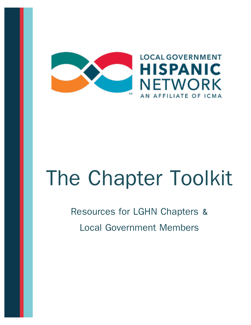

# The Chapter Toolkit

# Resources for LGHN Chapters & Local Government Members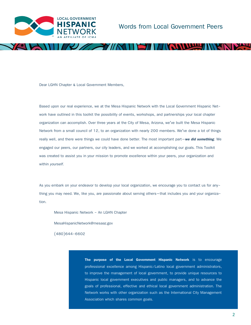

**SINY ARRIVER** 

Dear LGHN Chapter & Local Government Members,

Based upon our real experience, we at the Mesa Hispanic Network with the Local Government Hispanic Network have outlined in this toolkit the possibility of events, workshops, and partnerships your local chapter organization can accomplish. Over three years at the City of Mesa, Arizona, we've built the Mesa Hispanic Network from a small council of 12, to an organization with nearly 200 members. We've done a lot of things really well, and there were things we could have done better. The most important part—*we did something*. We engaged our peers, our partners, our city leaders, and we worked at accomplishing our goals. This Toolkit was created to assist you in your mission to promote excellence within your peers, your organization and within *yourself*.

 $\sim$   $\gamma$ // $\sim$   $\sim$ 

As you embark on your endeavor to develop your local organization, we encourage you to contact us for anything you may need. We, like you, are passionate about serving others—that includes you and your organization.

Mesa Hispanic Network - An LGHN Chapter

MesaHispanicNetwork@mesaaz.gov

(480)644-6602

**The purpose of the Local Government Hispanic Network** is to encourage professional excellence among Hispanic/Latino local government administrators, to improve the management of local government, to provide unique resources to Hispanic local government executives and public managers, and to advance the goals of professional, effective and ethical local government administration. The Network works with other organization such as the International City Management Association which shares common goals.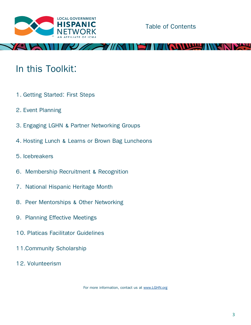

**VIDTHE** 

# In this Toolkit:

- 1. Getting Started: First Steps
- 2. Event Planning
- 3. Engaging LGHN & Partner Networking Groups
- 4. Hosting Lunch & Learns or Brown Bag Luncheons
- 5. Icebreakers
- 6. Membership Recruitment & Recognition
- 7. National Hispanic Heritage Month
- 8. Peer Mentorships & Other Networking
- 9. Planning Effective Meetings
- 10. Platicas Facilitator Guidelines
- 11.Community Scholarship
- 12. Volunteerism

For more information, contact us at [www.LGHN.org](http://www.lghn.org)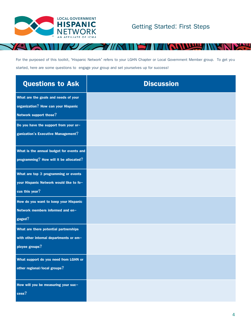

**Thur** 

For the purposed of this toolkit, 'Hispanic Network' refers to your LGHN Chapter or Local Government Member group. To get you started, here are some questions to engage your group and set yourselves up for success!

| <b>Questions to Ask</b>                  | <b>Discussion</b> |
|------------------------------------------|-------------------|
| What are the goals and needs of your     |                   |
| organization? How can your Hispanic      |                   |
| Network support those?                   |                   |
| Do you have the support from your or-    |                   |
| ganization's Executive Management?       |                   |
| What is the annual budget for events and |                   |
| programming? How will it be allocated?   |                   |
| What are top 3 programming or events     |                   |
| your Hispanic Network would like to fo-  |                   |
| cus this year?                           |                   |
| How do you want to keep your Hispanic    |                   |
| Network members informed and en-         |                   |
| gaged?                                   |                   |
| What are there potential partnerships    |                   |
| with other internal departments or em-   |                   |
| ployee groups?                           |                   |
| What support do you need from LGHN or    |                   |
| other regional/local groups?             |                   |
| How will you be measuring your suc-      |                   |
| cess?                                    |                   |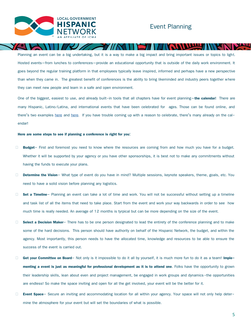

**Thurs** 

Planning an event can be a big undertaking, but it is a way to make a big impact and bring important issues or topics to light. Hosted events—from lunches to conferences—provide an educational opportunity that is outside of the daily work environment. It goes beyond the regular training platform in that employees typically leave inspired, informed and perhaps have a new perspective than when they came in. The greatest benefit of conferences is the ability to bring likeminded and industry peers together where they can meet new people and learn in a safe and open environment.

77 N H

One of the biggest, easiest to use, and already built-in tools that all chapters have for event planning—**the calendar!** There are many Hispanic, Latino/Latina, and international events that have been celebrated for ages. Those can be found online, and there's two examples [here](https://www.lexico.com/es/grammar/spanish-calendar) and [here](https://www.spanishdict.com/guide/a-year-of-celebrations-in-spanish-speaking-countries). If you have trouble coming up with a reason to celebrate, there's many already on the calendar!

#### **Here are some steps to see if planning a conference is right for you:**

- **Budget** First and foremost you need to know where the resources are coming from and how much you have for a budget. Whether it will be supported by your agency or you have other sponsorships, it is best not to make any commitments without having the funds to execute your plans.
- □ **Determine the Vision** What type of event do you have in mind? Multiple sessions, keynote speakers, theme, goals, etc. You need to have a solid vision before planning any logistics.
- □ **Set a Timeline** Planning an event can take a lot of time and work. You will not be successful without setting up a timeline and task list of all the items that need to take place. Start from the event and work your way backwards in order to see how much time is really needed. An average of 12 months is tyrpical but can be more depending on the size of the event.
- □ **Select a Decision Maker** There has to be one person designated to lead the entirety of the conference planning and to make some of the hard decisions. This person should have authority on behalf of the Hispanic Network, the budget, and within the agency. Most importantly, this person needs to have the allocated time, knowledge and resources to be able to ensure the success of the event is carried out.
- □ **Get your Committee on Board** Not only is it impossible to do it all by yourself, it is much more fun to do it as a team! Imple **menting a event is just as meaningful for professional development as it is to attend one**. Folks have the opportunity to grown their leadership skills, lean about even and project management, be engaged in work groups and dynamics-the opportunities are endless! So make the space inviting and open for all the get involved, your event will be the better for it.
- **Event Space** Secure an inviting and accommodating location for all within your agency. Your space will not only help determine the atmosphere for your event but will set the boundaries of what is possible.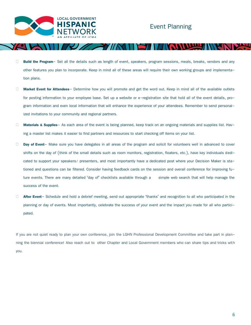

## Event Planning

- **Build the Program** Set all the details such as length of event, speakers, program sessions, meals, breaks, vendors and any other features you plan to incorporate. Keep in mind all of these areas will require their own working groups and implementation plans.
- **Market Event for Attendees** Determine how you will promote and get the word out. Keep in mind all of the available outlets for posting information to your employee base. Set up a website or e-registration site that hold all of the event details, program information and even local information that will enhance the experience of your attendees. Remember to send personalized invitations to your community and regional partners.
- □ **Materials & Supplies** As each area of the event is being planned, keep track on an ongoing materials and supplies list. Having a master list makes it easier to find partners and resources to start checking off items on your list.
- □ **Day of Event** Make sure you have delegates in all areas of the program and solicit for volunteers well in advanced to cover shifts on the day of (think of the small details such as room monitors, registration, floaters, etc.), have key individuals dedicated to support your speakers/ presenters, and most importantly have a dedicated post where your Decision Maker is stationed and questions can be filtered. Consider having feedback cards on the session and overall conference for improving future events. There are many detailed 'day of' checklists available through a simple web search that will help manage the success of the event.
- □ **After Event** Schedule and hold a debrief meeting, send out appropriate 'thanks' and recognition to all who participated in the planning or day of events. Most importantly, celebrate the success of your event and the impact you made for all who participated.

If you are not quiet ready to plan your own conference, join the LGHN Professional Development Committee and take part in planning the biennial conference! Also reach out to other Chapter and Local Government members who can share tips and tricks with you.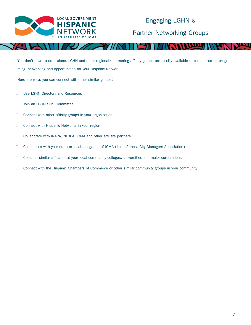

# Engaging LGHN & Partner Networking Groups

You don't have to do it alone. LGHN and other regional/ partnering affinity groups are readily available to collaborate on programming, networking and opportunities for your Hispanic Network.

Here are ways you can connect with other similar groups:

- □ Use LGHN Directory and Resources
- □ Join an LGHN Sub-Committee
- Connect with other affinity groups in your organization
- Connect with Hispanic Networks in your region
- □ Collaborate with INAPA, NFBPA, ICMA and other affiliate partners
- □ Collaborate with your state or local delegation of ICMA (i.e. Arizona City Managers Association)
- □ Consider similar affiliates at your local community colleges, universities and major corporations
- Connect with the Hispanic Chambers of Commerce or other similar community groups in your community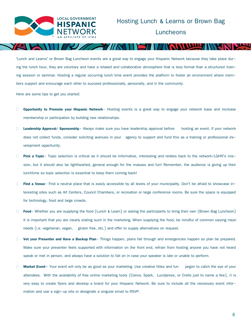

'Lunch and Learns' or Brown Bag Luncheon events are a great way to engage your Hispanic Network because they take place during the lunch hour, they are voluntary and have a relaxed and collaborative atmosphere that is less formal than a structured training session or seminar. Hosting a regular occurring lunch time event provides the platform to foster an environment where members support and encourage each other to succeed professionally, personally, and in the community.

Here are some tips to get you started:

- **Opportunity to Promote your Hispanic Network** Hosting events is a great way to engage your network base and increase membership or participation by building new relationships.
- □ **Leadership Approval/ Sponsorship** Always make sure you have leadership approval before hosting an event. If your network does not collect funds, consider soliciting avenues in your agency to support and fund this as a training or professional development opportunity.
- **Pick a Topic** Topic selection is critical as it should be informative, interesting and relates back to the network/LGHN's mission, but it should also be lighthearted, general enough for the masses and fun! Remember, the audience is giving up their lunchtime so topic selection is essential to keep them coming back!
- **Find a Venue** Find a neutral place that is easily accessible by all levels of your municipality. Don't be afraid to showcase interesting sites such as Art Centers, Council Chambers, or recreation or large conference rooms. Be sure the space is equipped for technology, food and large crowds.
- **Food-** Whether you are supplying the food (Lunch & Learn) or asking the participants to bring their own (Brown Bag Luncheon) it is important that you are clearly stating such in the marketing. When supplying the food, be mindful of common varying meal needs (i.e. vegetarian, vegan, gluten free, etc.) and offer to supply alternatives on request.
- **Vet your Presenter and Have a Backup Plan** Things happen, plans fall through and emergencies happen so plan be prepared. Make sure your presenter feels supported with information on the front end, refrain from hosting anyone you have not heard speak or met in person, and always have a solution to fall on in case your speaker is late or unable to perform.
- □ **Market Event** Your event will only be as good as your marketing. Use creative titles and fun jargon to catch the eye of your attendees. With the availability of free online marketing tools (Canva, Spark, Lucidpress, or Crello just to name a few), it is very easy to create flyers and develop a brand for your Hispanic Network. Be sure to include all the necessary event information and use a sign-up site or designate a singular email to RSVP.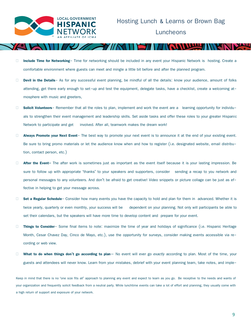

- **Include Time for Networking** Time for networking should be included in any event your Hispanic Network is hosting. Create a comfortable environment where guests can meet and mingle a little bit before and after the planned program.
- Devil in the Details- As for any successful event planning, be mindful of all the details: know your audience, amount of folks attending, get there early enough to set-up and test the equipment, delegate tasks, have a checklist, create a welcoming atmosphere with music and greeters,
- **Solicit Volunteers** Remember that all the roles to plan, implement and work the event are a learning opportunity for individuals to strengthen their event management and leadership skills. Set aside tasks and offer these roles to your greater Hispanic Network to participate and get involved. After all, teamwork makes the dream work!
- **Always Promote your Next Event** The best way to promote your next event is to announce it at the end of your existing event. Be sure to bring promo materials or let the audience know when and how to register (i.e. designated website, email distribution, contact person, etc.)
- **After the Event-** The after work is sometimes just as important as the event itself because it is your lasting impression. Be sure to follow up with appropriate 'thanks' to your speakers and supporters, consider sending a recap to you network and personal messages to any volunteers. And don't be afraid to get creative! Video snippets or picture collage can be just as effective in helping to get your message across.
- □ **Set a Regular Schedule** Consider how many events you have the capacity to hold and plan for them in advanced. Whether it is twice yearly, quarterly or even monthly, your success will be dependent on your planning. Not only will participants be able to set their calendars, but the speakers will have more time to develop content and prepare for your event.
- **Things to Consider** Some final items to note: maximize the time of year and holidays of significance (i.e. Hispanic Heritage Month, Cesar Chavez Day, Cinco de Mayo, etc.), use the opportunity for surveys, consider making events accessible via recording or web view.
- **What to do when things don't go according to plan** No event will ever go *exactly* according to plan. Most of the time, your guests and attendees will never know. Learn from your mistakes, debrief with your event planning team, take notes, and imple-

Keep in mind that there is no 'one size fits all' approach to planning any event and expect to learn as you go. Be receptive to the needs and wants of your organization and frequently solicit feedback from a neutral party. While lunchtime events can take a lot of effort and planning, they usually come with a high return of support and exposure of your network.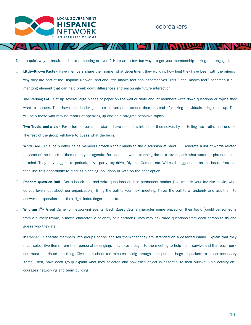

### Icebreakers

Need a quick way to break the ice at a meeting or event? Here are a few fun ways to get your membership talking and engaged:

- **Little-Known Facts** Have members share their name, what department they work in, how long they have been with the agency, why they are part of the Hispanic Network and one little known fact about themselves. This "little-known fact" becomes a humanizing element that can help break down differences and encourage future interaction.
- □ The Parking Lot-Set up several large pieces of paper on the wall or table and let members write down questions or topics they want to discuss. Then have the leader generate conversation around them instead of making individuals bring them up. This will help those who may be fearful of speaking up and help navigate sensitive topics.
- □ Two Truths and a Lie- For a fun conversation starter have members introduce themselves by telling two truths and one lie. The rest of the group will have to guess what the lie is.
- **Word Tree** This ice breaker helps members broaden their minds to the discussion at hand. Generate a list of words related to some of the topics or themes on your agenda. For example, when planning the next event, ask what words or phrases come to mind. They may suggest a potluck, pizza party, toy drive, Olympic Games, etc. Write all suggestions on the board. You can then use this opportunity to discuss planning, solutions or vote on the best option.
- **Random Question Ball-** Get a beach ball and write questions on it in permanent marker (ex: what is your favorite movie, what do you love most about our organization). Bring the ball to your next meeting. Throw the ball to a randomly and ask them to answer the question that their right index finger points to.
- **Who am I?-** Great game for networking events. Each guest gets a character name placed on their back (could be someone from a nursery rhyme, a movie character, a celebrity or a cartoon). They may ask three questions from each person to try and guess who they are.
- **Marooned** Separate members into groups of five and tell them that they are stranded on a deserted island. Explain that they must select five items from their personal belongings they have brought to the meeting to help them survive and that each person must contribute one thing. Give them about ten minutes to dig through their purses, bags or pockets to select necessary items. Then, have each group explain what they selected and how each object is essential to their survival. This activity encourages networking and team building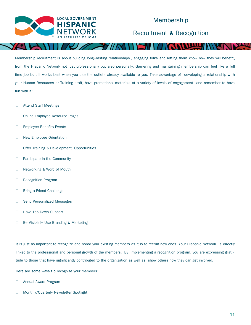

## Membership

Recruitment & Recognition

Membership recruitment is about building long-lasting relationships., engaging folks and letting them know how they will benefit, from the Hispanic Network not just professionally but also personally. Garnering and maintaining membership can feel like a full time job but, it works best when you use the outlets already available to you. Take advantage of developing a relationship with your Human Resources or Training staff, have promotional materials at a variety of levels of engagement and remember to have fun with it!

- □ Attend Staff Meetings
- □ Online Employee Resource Pages
- □ Employee Benefits Events
- New Employee Orientation
- □ Offer Training & Development Opportunities
- **Participate in the Community**
- □ Networking & Word of Mouth
- □ Recognition Program
- □ Bring a Friend Challenge
- □ Send Personalized Messages
- **Have Top Down Support**
- □ Be Visible! Use Branding & Marketing

It is just as important to recognize and honor your existing members as it is to recruit new ones. Your Hispanic Network is directly linked to the professional and personal growth of the members. By implementing a recognition program, you are expressing gratitude to those that have significantly contributed to the organization as well as show others how they can get involved.

Here are some ways t o recognize your members:

- **E** Annual Award Program
- □ Monthly/Quarterly Newsletter Spotlight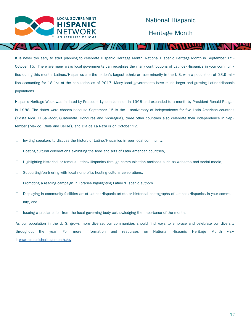

It is never too early to start planning to celebrate Hispanic Heritage Month. National Hispanic Heritage Month is September 15-October 15. There are many ways local governments can recognize the many contributions of Latinos/Hispanics in your communities during this month. Latinos/Hispanics are the nation's largest ethnic or race minority in the U.S. with a population of 58.9 million accounting for 18.1% of the population as of 2017. Many local governments have much larger and growing Latino/Hispanic populations.

Hispanic Heritage Week was initiated by President Lyndon Johnson in 1968 and expanded to a month by President Ronald Reagan in 1988. The dates were chosen because September 15 is the anniversary of independence for five Latin American countries (Costa Rica, El Salvador, Guatemala, Honduras and Nicaragua), three other countries also celebrate their independence in September (Mexico, Chile and Belize), and Día de La Raza is on October 12.

- Inviting speakers to discuss the history of Latino/Hispanics in your local community,
- $\Box$  Hosting cultural celebrations exhibiting the food and arts of Latin American countries,
- □ Highlighting historical or famous Latino/Hispanics through communication methods such as websites and social media,
- $\Box$  Supporting/partnering with local nonprofits hosting cultural celebrations,
- $\Box$  Promoting a reading campaign in libraries highlighting Latino/Hispanic authors
- Displaying in community facilities art of Latino/Hispanic artists or historical photographs of Latinos/Hispanics in your community, and
- $\Box$  Issuing a proclamation from the local governing body acknowledging the importance of the month.

As our population in the U. S. grows more diverse, our communities should find ways to embrace and celebrate our diversity throughout the year. For more information and resources on National Hispanic Heritage Month visit [www.hispanicheritagemonth.gov.](http://www.hispanicheritagemonth.gov)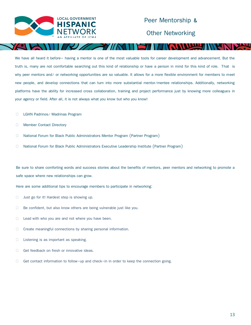

### Peer Mentorship &

Other Networking

We have all heard it before– having a mentor is one of the most valuable tools for career development and advancement. But the truth is, many are not comfortable searching out this kind of relationship or have a person in mind for this kind of role. That is why peer mentors and/ or networking opportunities are so valuable. It allows for a more flexible environment for members to meet new people, and develop connections that can turn into more substantial mentor/mentee relationships. Additionally, networking platforms have the ability for increased cross collaboration, training and project performance just by knowing more colleagues in your agency or field. After all, it is not always what you know but who you know!

- **LGHN Padrinos/ Madrinas Program**
- □ Member Contact Directory
- National Forum for Black Public Administrators Mentor Program (Partner Program)
- National Forum for Black Public Administrators Executive Leadership Institute (Partner Program)

Be sure to share comforting words and success stories about the benefits of mentors, peer mentors and networking to promote a safe space where new relationships can grow.

Here are some additional tips to encourage members to participate in networking:

- $\Box$  Just go for it! Hardest step is showing up.
- Be confident, but also know others are being vulnerable just like you.
- $\Box$  Lead with who you are and not where you have been.
- $\Box$  Create meaningful connections by sharing personal information.
- □ Listening is as important as speaking.
- Get feedback on fresh or innovative ideas.
- $\Box$  Get contact information to follow-up and check-in in order to keep the connection going.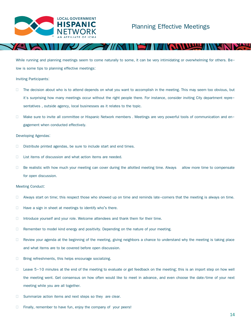

While running and planning meetings seem to come naturally to some, it can be very intimidating or overwhelming for others. Below is some tips to planning effective meetings:

#### Inviting Participants:

- $\Box$  The decision about who is to attend depends on what you want to accomplish in the meeting. This may seem too obvious, but it's surprising how many meetings occur without the right people there. For instance, consider inviting City department representatives , outside agency, local businesses as it relates to the topic.
- □ Make sure to invite all committee or Hispanic Network members . Meetings are very powerful tools of communication and engagement when conducted effectively.

#### Developing Agendas:

- Distribute printed agendas, be sure to include start and end times.
- $\Box$  List items of discussion and what action items are needed.
- $\Box$  Be realistic with how much your meeting can cover during the allotted meeting time. Always allow more time to compensate for open discussion.

#### Meeting Conduct:

- $\Box$  Always start on time; this respect those who showed up on time and reminds late-comers that the meeting is always on time.
- $\Box$  Have a sign in sheet at meetings to identify who's there.
- Introduce yourself and your role. Welcome attendees and thank them for their time.
- $\Box$  Remember to model kind energy and positivity. Depending on the nature of your meeting.
- $\Box$  Review your agenda at the beginning of the meeting, giving neighbors a chance to understand why the meeting is taking place and what items are to be covered before open discussion.
- $\Box$  Bring refreshments, this helps encourage socializing.
- $\Box$  Leave 5-10 minutes at the end of the meeting to evaluate or get feedback on the meeting; this is an import step on how well the meeting went. Get consensus on how often would like to meet in advance, and even choose the date/time of your next meeting while you are all together.
- $\Box$  Summarize action items and next steps so they are clear.
- Finally, remember to have fun, enjoy the company of your peers!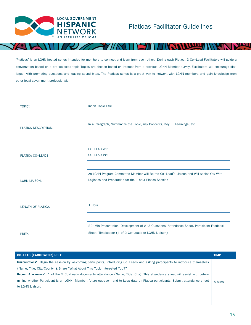

'Platicas' is an LGHN hosted series intended for members to connect and learn from each other. During each Platica, 2 Co-Lead Facilitators will guide a conversation based on a pre-selected topic Topics are chosen based on interest from a previous LGHN Member survey. Facilitators will encourage dialogue with prompting questions and leading sound bites. The Platicas series is a great way to network with LGHN members and gain knowledge from other local government professionals.

| TOPIC:                    | Insert Topic Title                                                                        |
|---------------------------|-------------------------------------------------------------------------------------------|
|                           |                                                                                           |
| PLATICA DESCRIPTION:      | In a Paragraph, Summarize the Topic, Key Concepts, Key Learnings, etc.                    |
|                           |                                                                                           |
|                           | $CO$ -LEAD #1:                                                                            |
| <b>PLATICA CO-LEADS:</b>  | $CO$ -LEAD $#2$ :                                                                         |
|                           |                                                                                           |
|                           | An LGHN Program Committee Member Will Be the Co-Lead's Liaison and Will Assist You With   |
| <b>LGHN LIAISON:</b>      | Logistics and Preparation for the 1 hour Platica Session                                  |
|                           |                                                                                           |
| <b>LENGTH OF PLATICA:</b> | 1 Hour                                                                                    |
|                           |                                                                                           |
|                           | 20-Min Presentation, Development of 2-3 Questions, Attendance Sheet, Participant Feedback |
| PREP:                     | Sheet, Timekeeper (1 of 2 Co-Leads or LGHN Liaison)                                       |
|                           |                                                                                           |

| <b>CO-LEAD (FACILITATOR) ROLE</b>                                                                                                       | <b>TIME</b> |
|-----------------------------------------------------------------------------------------------------------------------------------------|-------------|
| <b>INTRODUCTIONS:</b> Begin the session by welcoming participants, introducing Co-Leads and asking participants to introduce themselves |             |
| (Name, Title, City/County, & Share "What About This Topic Interested You?"                                                              |             |
| <b>RECORD ATTENDANCE:</b> 1 of the 2 Co-Leads documents attendance (Name, Title, City). This attendance sheet will assist with deter-   |             |
| mining whether Participant is an LGHN Member, future outreach, and to keep data on Platica participants. Submit attendance sheet        | 5 Mins      |
| to LGHN Liaison.                                                                                                                        |             |
|                                                                                                                                         |             |
|                                                                                                                                         |             |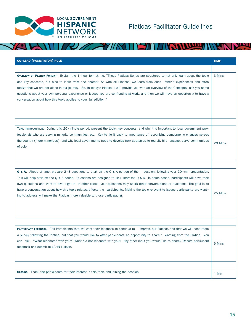

XC

# Platicas Facilitator Guidelines

#### TROUBLE MY NEW  $2\pi$  -YIIN 31 I

| <b>CO-LEAD (FACILITATOR) ROLE</b>                                                                                                                                                                                                                                                                                                                                                                                                                                                                                                                                                                                                                 | <b>TIME</b> |
|---------------------------------------------------------------------------------------------------------------------------------------------------------------------------------------------------------------------------------------------------------------------------------------------------------------------------------------------------------------------------------------------------------------------------------------------------------------------------------------------------------------------------------------------------------------------------------------------------------------------------------------------------|-------------|
|                                                                                                                                                                                                                                                                                                                                                                                                                                                                                                                                                                                                                                                   |             |
| <b>OVERVIEW OF PLATICA FORMAT:</b> Explain the 1-hour format: i.e. "These Platicas Series are structured to not only learn about the topic<br>and key concepts, but also to learn from one another. As with all Platicas, we learn from each other's experiences and often<br>realize that we are not alone in our journey. So, in today's Platica, I will provide you with an overview of the Concepts, ask you some<br>questions about your own personal experience or issues you are confronting at work, and then we will have an opportunity to have a<br>conversation about how this topic applies to your jurisdiction."                   | 3 Mins      |
| TOPIC INTRODUCTION: During this 20-minute period, present the topic, key concepts, and why it is important to local government pro-<br>fessionals who are serving minority communities, etc. Key to tie it back to importance of recognizing demographic changes across<br>the country (more minorities), and why local governments need to develop new strategies to recruit, hire, engage, serve communities<br>of color.                                                                                                                                                                                                                       | 20 Mins     |
|                                                                                                                                                                                                                                                                                                                                                                                                                                                                                                                                                                                                                                                   |             |
| <b>Q &amp; A:</b> Ahead of time, prepare 2-3 questions to start off the Q & A portion of the session, following your 20-min presentation.<br>This will help start off the Q & A period. Questions are designed to kick-start the Q & A. In some cases, participants will have their<br>own questions and want to dive-right in, in other cases, your questions may spark other conversations or questions. The goal is to<br>have a conversation about how this topic relates/affects the participants. Making the topic relevant to issues participants are want-<br>ing to address will make the Platicas more valuable to those participating. | 25 Mins     |
| <b>PARTICIPANT FEEDBACK:</b> Tell Participants that we want their feedback to continue to improve our Platicas and that we will send them<br>a survey following the Platica, but that you would like to offer participants an opportunity to share 1 learning from the Platica. You<br>can ask: "What resonated with you? What did not resonate with you? Any other input you would like to share? Record participant<br>feedback and submit to LGHN Liaison.                                                                                                                                                                                     | 6 Mins      |
| <b>CLOSING:</b> Thank the participants for their interest in this topic and joining the session.                                                                                                                                                                                                                                                                                                                                                                                                                                                                                                                                                  | 1 Min       |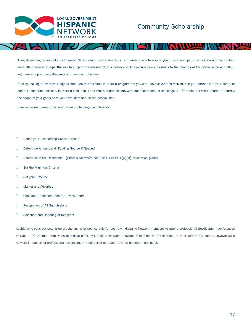

A significant way to imprint your Hispanic Network into the community is by offering a scholarship program. Scholarships for education and/ or conference attendance is a impactful way to support the mission of your network while exposing new individuals to the benefits of the organization and offering them an opportunity they may not have had otherwise.

Start by looking at what your organization has to offer first, Is there a program fee you can have covered or waived, can you partner with your library or parks & recreation services. is there a local non-profit that has participants with identified needs or challenges? Often times it will be harder to narrow the scope of your goals once you have identified all the possibilities.

Here are some items to consider when implanting a scholarship:

- Define your Scholarship Goals/Purpose
- Determine Amount and Funding Source if Needed
- Determine if Tax Deductible- (Chapter Members can use LGHN 501 $(c)(3)$  foundation group)
- Set the Minimum Criteria
- Set your Timeline
- **Narket and Advertise**
- **Candidate Selection Panel or Review Board**
- Recognition of All Submissions
- Selection and Honoring of Recipient

Additionally, consider setting up a scholarship or sponsorship for your own Hispanic Network members to attend professional development conferences or events. Often times employees may have difficulty getting such events covered if they are not directly tied to their current job duties, however as a network in support of professional advancement it beneficial to support events deemed meaningful.